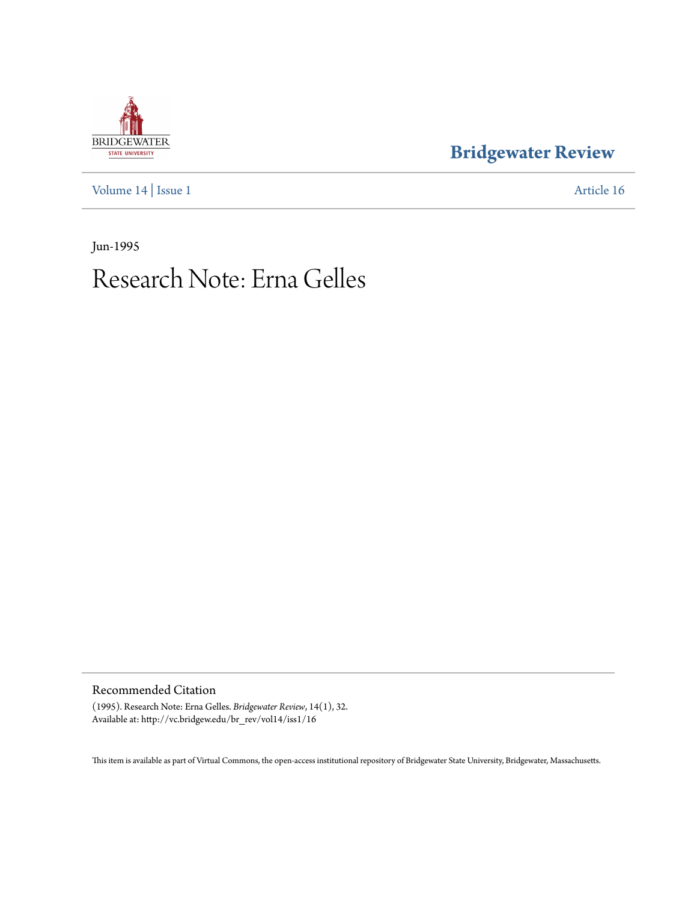## **BRIDGEWATER** STATE UNIVERSITY

## **[Bridgewater Review](http://vc.bridgew.edu/br_rev)**

[Volume 14](http://vc.bridgew.edu/br_rev/vol14) | [Issue 1](http://vc.bridgew.edu/br_rev/vol14/iss1) [Article 16](http://vc.bridgew.edu/br_rev/vol14/iss1/16)

Jun-1995

## Research Note: Erna Gelles

Recommended Citation

(1995). Research Note: Erna Gelles. *Bridgewater Review*, 14(1), 32. Available at: http://vc.bridgew.edu/br\_rev/vol14/iss1/16

This item is available as part of Virtual Commons, the open-access institutional repository of Bridgewater State University, Bridgewater, Massachusetts.